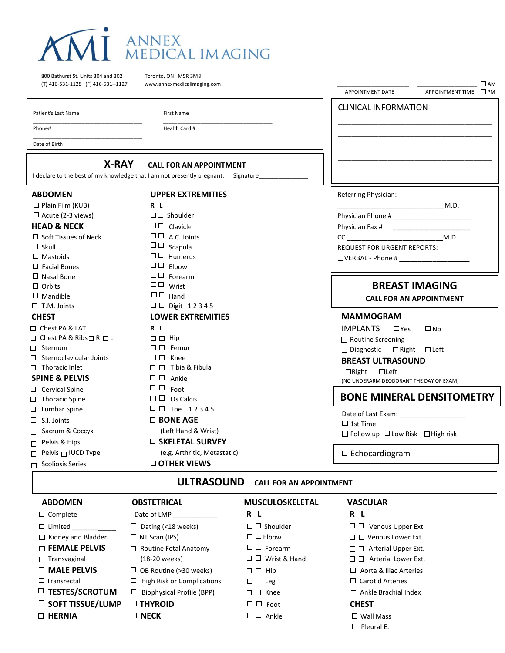

800 Bathurst St. Units 304 and 302 Toronto, ON M5R 3M8 (T) 416-531-1128 (F) 416-531--1127 www.annexmedicalimaging.com

\_\_\_\_\_\_\_\_\_\_\_\_\_\_\_\_\_\_\_\_\_\_\_\_\_\_\_\_\_\_\_\_\_\_\_\_\_\_

\_\_\_\_\_\_\_\_\_\_\_\_\_\_\_\_\_\_\_\_\_\_\_\_\_\_\_\_\_\_\_\_\_\_\_\_\_\_ \_\_\_\_\_\_\_\_\_\_\_\_\_\_\_\_\_\_\_\_\_\_\_\_\_\_\_\_\_\_\_\_\_\_\_\_\_\_ Patient's Last Name First Name First Name

Date of Birth

\_\_\_\_\_\_\_\_\_\_\_\_\_\_\_\_\_\_\_\_\_\_\_\_\_\_\_\_\_\_\_\_\_\_\_\_\_\_ \_\_\_\_\_\_\_\_\_\_\_\_\_\_\_\_\_\_\_\_\_\_\_\_\_\_\_\_\_\_\_\_\_\_\_\_\_\_

Phone# Health Card #

**X-RAY CALL FOR AN APPOINTMENT**

I declare to the best of my knowledge that I am not presently pregnant. Signature

| <b>ABDOMEN</b>                           | <b>UPPER EXTREMITIES</b>      | Referring Physician:                                 |
|------------------------------------------|-------------------------------|------------------------------------------------------|
| $\Box$ Plain Film (KUB)                  | R L                           | M.D.                                                 |
| $\Box$ Acute (2-3 views)                 | $\Box$ $\Box$ Shoulder        |                                                      |
| <b>HEAD &amp; NECK</b>                   | $\square \square$ Clavicle    |                                                      |
| $\Box$ Soft Tissues of Neck              | $\Box$ $\Box$ A.C. Joints     | M.D.<br>$CC$ and $C$                                 |
| $\Box$ Skull                             | $\square \square$ Scapula     | <b>REQUEST FOR URGENT REPORTS:</b>                   |
| $\Box$ Mastoids                          | □□ Humerus                    | $\Box$ VERBAL - Phone # $\_\_\_\_\_\_\_\_\_\_\_\_\_$ |
| $\Box$ Facial Bones                      | $\Box$ $\Box$ Elbow           |                                                      |
| $\Box$ Nasal Bone                        | $\Box$ $\Box$ Forearm         |                                                      |
| $\Box$ Orbits                            | $\square \square$ Wrist       | <b>BREAST IMAGING</b>                                |
| $\Box$ Mandible                          | $\Box$ $\Box$ Hand            | <b>CALL FOR AN APPOINTMENT</b>                       |
| $\Box$ T.M. Joints                       | $\Box$ $\Box$ Digit 12345     |                                                      |
| <b>CHEST</b>                             | <b>LOWER EXTREMITIES</b>      | <b>MAMMOGRAM</b>                                     |
| □ Chest PA & LAT                         | R L                           | <b>IMPLANTS</b><br>$\square$ No<br>$\Box$ Yes        |
| $\Box$ Chest PA & Ribs $\Box$ R $\Box$ L | $\Box$ $\Box$ Hip             | □ Routine Screening                                  |
| $\Box$ Sternum                           | $\Box$ $\Box$ Femur           | $\Box$ Diagnostic $\Box$ Right $\Box$ Left           |
| $\Box$ Sternoclavicular Joints           | $\square$ $\square$ Knee      | <b>BREAST ULTRASOUND</b>                             |
| $\Box$ Thoracic Inlet                    | $\Box$ Tibia & Fibula         | $\Box$ Right $\Box$ Left                             |
| <b>SPINE &amp; PELVIS</b>                | $\square$ $\square$ Ankle     | (NO UNDERARM DEODORANT THE DAY OF EXAM)              |
| □ Cervical Spine                         | $\Box$ $\Box$ Foot            |                                                      |
| $\Box$ Thoracic Spine                    | $\square$ $\square$ Os Calcis | <b>BONE MINERAL DENSITOMETRY</b>                     |
| $\Box$ Lumbar Spine                      | $\Box$ $\Box$ Toe 12345       |                                                      |
| $\Box$ S.I. Joints                       | $\Box$ BONE AGE               | $\Box$ 1st Time                                      |
| □ Sacrum & Coccyx                        | (Left Hand & Wrist)           | $\Box$ Follow up $\Box$ Low Risk $\Box$ High risk    |
| $\Box$ Pelvis & Hips                     | $\Box$ SKELETAL SURVEY        |                                                      |
| Pelvis $\Box$ IUCD Type                  | (e.g. Arthritic, Metastatic)  | $\square$ Echocardiogram                             |
| $\Box$ Scoliosis Series                  | □ OTHER VIEWS                 |                                                      |
|                                          | $\mathbf{H}$                  |                                                      |

CLINICAL INFORMATION

\_\_\_\_\_\_\_\_\_\_\_\_\_\_\_\_\_\_\_\_\_\_\_\_\_\_\_\_\_\_\_\_\_\_ \_\_\_\_\_\_\_\_\_\_\_\_\_\_\_\_\_\_\_\_\_\_\_\_\_\_\_\_\_\_\_\_\_\_ \_\_\_\_\_\_\_\_\_\_\_\_\_\_\_\_\_\_\_\_\_\_\_\_\_\_\_\_\_\_\_\_\_\_ \_\_\_\_\_\_\_\_\_\_\_\_\_\_\_\_\_\_\_\_\_\_\_\_\_\_\_\_\_\_\_\_\_\_ \_\_\_\_\_\_\_\_\_\_\_\_\_\_\_\_\_\_\_\_\_\_\_\_\_\_\_\_\_

\_\_\_\_\_\_\_\_\_\_\_\_\_\_\_\_\_\_\_\_\_\_\_\_\_ \_\_\_\_\_\_\_\_\_\_\_\_\_\_\_\_\_\_\_\_\_ AM APPOINTMENT DATE APPOINTMENT TIME

**ULTRASOUND CALL FOR AN APPOINTMENT**

| <b>ABDOMEN</b>             | <b>OBSTETRICAL</b>                    | <b>MUSCULOSKELETAL</b>     | <b>VASCULAR</b>                   |
|----------------------------|---------------------------------------|----------------------------|-----------------------------------|
| $\Box$ Complete            | Date of LMP                           | R L                        | R L                               |
| $\Box$ Limited             | $\Box$ Dating (<18 weeks)             | $\Box$ $\Box$ Shoulder     | 00.<br>Venous Upper Ext.          |
| $\Box$ Kidney and Bladder  | $\Box$ NT Scan (IPS)                  | $\Box$ $\Box$ Elbow        | $\Box$ $\Box$ Venous Lower Ext.   |
| $\Box$ FEMALE PELVIS       | $\Box$ Routine Fetal Anatomy          | $\Box$ $\Box$ Forearm      | $\Box$ $\Box$ Arterial Upper Ext. |
| $\Box$ Transvaginal        | (18-20 weeks)                         | $\Box$ $\Box$ Wrist & Hand | $\Box$ $\Box$ Arterial Lower Ext. |
| $\Box$ MALE PELVIS         | $\Box$ OB Routine (>30 weeks)         | $\Box$ $\Box$ Hip          | $\Box$ Aorta & Iliac Arteries     |
| $\Box$ Transrectal         | $\Box$ High Risk or Complications     | $\Box$ $\Box$ Leg          | $\Box$ Carotid Arteries           |
| $\Box$ TESTES/SCROTUM      | <b>Biophysical Profile (BPP)</b><br>□ | $\Box$ $\Box$ Knee         | $\Box$ Ankle Brachial Index       |
| $\square$ SOFT TISSUE/LUMP | <b>D THYROID</b>                      | $\Box$ $\Box$ Foot         | <b>CHEST</b>                      |
| $\Box$ HERNIA              | $\square$ NECK                        | $\Box$ $\Box$ Ankle        | $\square$ Wall Mass               |
|                            |                                       |                            | $\Box$ Pleural E.                 |